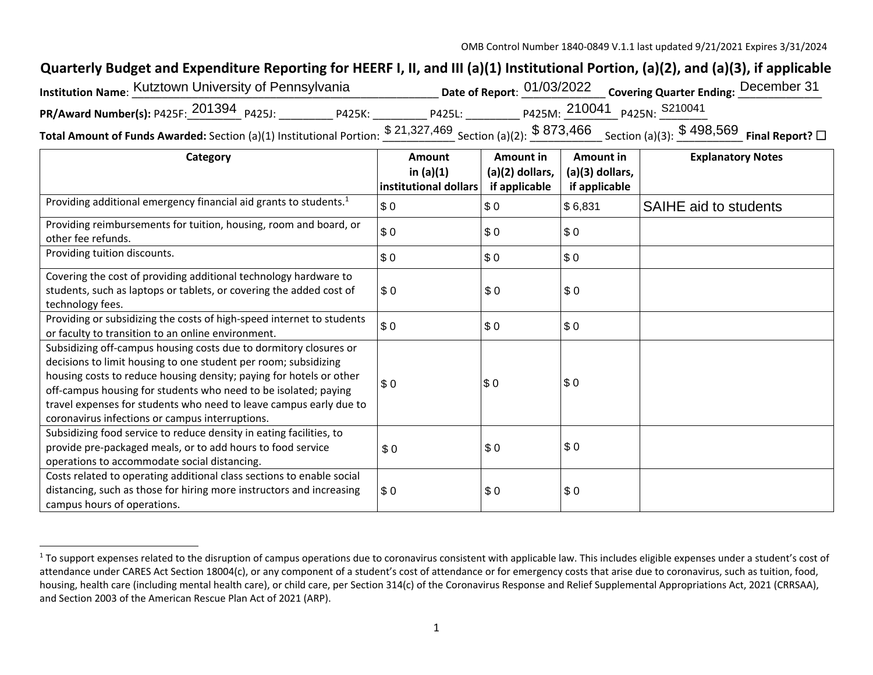## **Quarterly Budget and Expenditure Reporting for HEERF I, II, and III (a)(1) Institutional Portion, (a)(2), and (a)(3), if applicable**

| Institution Name: Kutztown University of Pennsylvania |                            |        | Date of Report: 01/03/2022 Covering Quarter Ending: December 31 |                              |
|-------------------------------------------------------|----------------------------|--------|-----------------------------------------------------------------|------------------------------|
| PR/Award Number(s): P425F: $201394$ P425J:            | P425K:                     | P425L: |                                                                 | P425M: 210041 P425N: S210041 |
|                                                       | <b>ሮ <u>ዓላ ዓዓማ ለድ</u>ስ</b> |        | 0.070.4CC                                                       | 0.100 ECD                    |

**Total Amount of Funds Awarded:** Section (a)(1) Institutional Portion:  $\frac{\$~21,327,469}{\$~21,327,469}$  Section (a)(2):  $\frac{\$~873,466}{\$~21,466}$  Section (a)(3):  $\frac{\$~498,569}{\$~498,569}$  Final Report? □

| Category                                                                                                                                                                                                                                                                                                                                                                                                | Amount<br>in $(a)(1)$ | Amount in<br>(a)(2) dollars, | Amount in<br>(a)(3) dollars, | <b>Explanatory Notes</b> |
|---------------------------------------------------------------------------------------------------------------------------------------------------------------------------------------------------------------------------------------------------------------------------------------------------------------------------------------------------------------------------------------------------------|-----------------------|------------------------------|------------------------------|--------------------------|
|                                                                                                                                                                                                                                                                                                                                                                                                         | institutional dollars | if applicable                | if applicable                |                          |
| Providing additional emergency financial aid grants to students. <sup>1</sup>                                                                                                                                                                                                                                                                                                                           | \$0                   | \$0                          | \$6,831                      | SAIHE aid to students    |
| Providing reimbursements for tuition, housing, room and board, or<br>other fee refunds.                                                                                                                                                                                                                                                                                                                 | \$0                   | \$0                          | \$0                          |                          |
| Providing tuition discounts.                                                                                                                                                                                                                                                                                                                                                                            | \$0                   | \$0                          | \$0                          |                          |
| Covering the cost of providing additional technology hardware to<br>students, such as laptops or tablets, or covering the added cost of<br>technology fees.                                                                                                                                                                                                                                             | \$0                   | \$0                          | \$0                          |                          |
| Providing or subsidizing the costs of high-speed internet to students<br>or faculty to transition to an online environment.                                                                                                                                                                                                                                                                             | \$0                   | \$0                          | \$0                          |                          |
| Subsidizing off-campus housing costs due to dormitory closures or<br>decisions to limit housing to one student per room; subsidizing<br>housing costs to reduce housing density; paying for hotels or other<br>off-campus housing for students who need to be isolated; paying<br>travel expenses for students who need to leave campus early due to<br>coronavirus infections or campus interruptions. | \$0                   | \$0                          | \$0                          |                          |
| Subsidizing food service to reduce density in eating facilities, to<br>provide pre-packaged meals, or to add hours to food service<br>operations to accommodate social distancing.                                                                                                                                                                                                                      | \$0                   | \$0                          | \$0                          |                          |
| Costs related to operating additional class sections to enable social<br>distancing, such as those for hiring more instructors and increasing<br>campus hours of operations.                                                                                                                                                                                                                            | \$0                   | \$0                          | \$0                          |                          |

<sup>&</sup>lt;sup>1</sup> To support expenses related to the disruption of campus operations due to coronavirus consistent with applicable law. This includes eligible expenses under a student's cost of attendance under CARES Act Section 18004(c), or any component of a student's cost of attendance or for emergency costs that arise due to coronavirus, such as tuition, food, housing, health care (including mental health care), or child care, per Section 314(c) of the Coronavirus Response and Relief Supplemental Appropriations Act, 2021 (CRRSAA), and Section 2003 of the American Rescue Plan Act of 2021 (ARP).